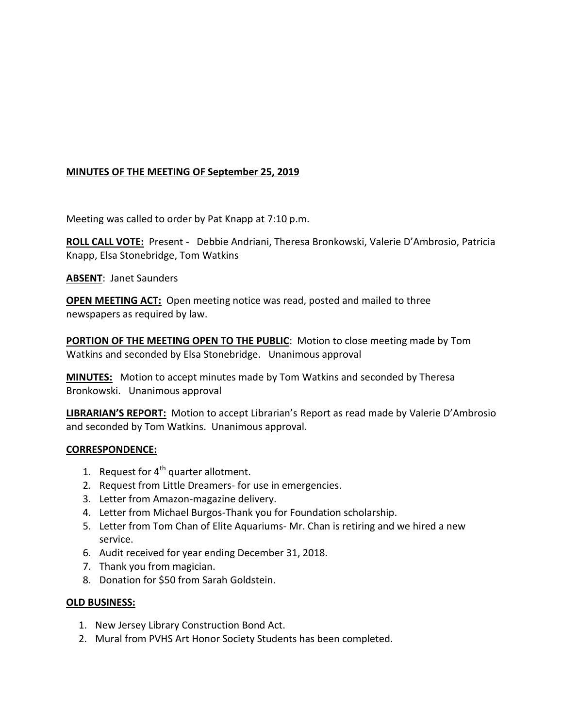# **MINUTES OF THE MEETING OF September 25, 2019**

Meeting was called to order by Pat Knapp at 7:10 p.m.

**ROLL CALL VOTE:** Present - Debbie Andriani, Theresa Bronkowski, Valerie D'Ambrosio, Patricia Knapp, Elsa Stonebridge, Tom Watkins

**ABSENT**: Janet Saunders

**OPEN MEETING ACT:** Open meeting notice was read, posted and mailed to three newspapers as required by law.

**PORTION OF THE MEETING OPEN TO THE PUBLIC**: Motion to close meeting made by Tom Watkins and seconded by Elsa Stonebridge. Unanimous approval

**MINUTES:** Motion to accept minutes made by Tom Watkins and seconded by Theresa Bronkowski. Unanimous approval

**LIBRARIAN'S REPORT:** Motion to accept Librarian's Report as read made by Valerie D'Ambrosio and seconded by Tom Watkins. Unanimous approval.

#### **CORRESPONDENCE:**

- 1. Request for  $4^{th}$  quarter allotment.
- 2. Request from Little Dreamers- for use in emergencies.
- 3. Letter from Amazon-magazine delivery.
- 4. Letter from Michael Burgos-Thank you for Foundation scholarship.
- 5. Letter from Tom Chan of Elite Aquariums- Mr. Chan is retiring and we hired a new service.
- 6. Audit received for year ending December 31, 2018.
- 7. Thank you from magician.
- 8. Donation for \$50 from Sarah Goldstein.

#### **OLD BUSINESS:**

- 1. New Jersey Library Construction Bond Act.
- 2. Mural from PVHS Art Honor Society Students has been completed.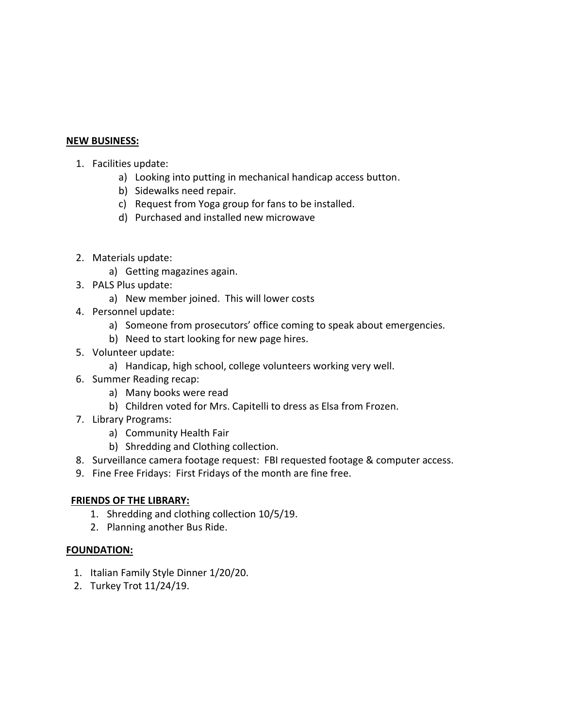### **NEW BUSINESS:**

- 1. Facilities update:
	- a) Looking into putting in mechanical handicap access button.
	- b) Sidewalks need repair.
	- c) Request from Yoga group for fans to be installed.
	- d) Purchased and installed new microwave
- 2. Materials update:
	- a) Getting magazines again.
- 3. PALS Plus update:
	- a) New member joined. This will lower costs
- 4. Personnel update:
	- a) Someone from prosecutors' office coming to speak about emergencies.
	- b) Need to start looking for new page hires.
- 5. Volunteer update:
	- a) Handicap, high school, college volunteers working very well.
- 6. Summer Reading recap:
	- a) Many books were read
	- b) Children voted for Mrs. Capitelli to dress as Elsa from Frozen.
- 7. Library Programs:
	- a) Community Health Fair
	- b) Shredding and Clothing collection.
- 8. Surveillance camera footage request: FBI requested footage & computer access.
- 9. Fine Free Fridays: First Fridays of the month are fine free.

#### **FRIENDS OF THE LIBRARY:**

- 1. Shredding and clothing collection 10/5/19.
- 2. Planning another Bus Ride.

#### **FOUNDATION:**

- 1. Italian Family Style Dinner 1/20/20.
- 2. Turkey Trot 11/24/19.